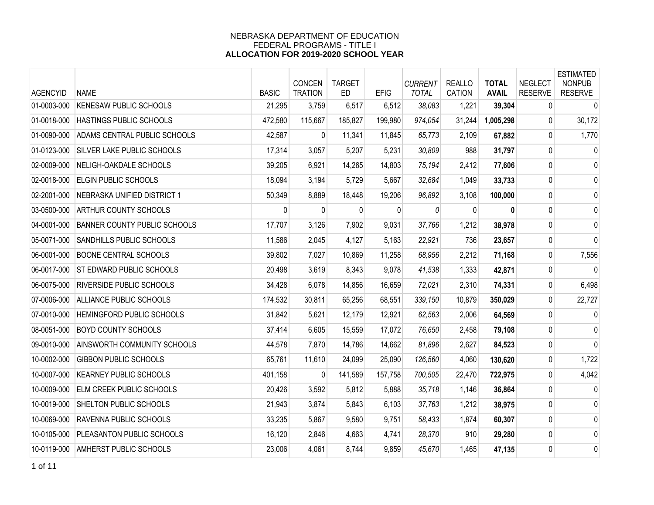| <b>AGENCYID</b> | <b>NAME</b>                         | <b>BASIC</b> | <b>CONCEN</b><br><b>TRATION</b> | <b>TARGET</b><br><b>ED</b> | <b>EFIG</b> | <b>CURRENT</b><br><b>TOTAL</b> | <b>REALLO</b><br><b>CATION</b> | <b>TOTAL</b><br><b>AVAIL</b> | <b>NEGLECT</b><br><b>RESERVE</b> | <b>ESTIMATED</b><br><b>NONPUB</b><br><b>RESERVE</b> |
|-----------------|-------------------------------------|--------------|---------------------------------|----------------------------|-------------|--------------------------------|--------------------------------|------------------------------|----------------------------------|-----------------------------------------------------|
| 01-0003-000     | <b>KENESAW PUBLIC SCHOOLS</b>       | 21,295       | 3,759                           | 6,517                      | 6,512       | 38,083                         | 1,221                          | 39,304                       | 0                                | $\mathbf 0$                                         |
| 01-0018-000     | HASTINGS PUBLIC SCHOOLS             | 472,580      | 115,667                         | 185,827                    | 199,980     | 974,054                        | 31,244                         | 1,005,298                    | 0                                | 30,172                                              |
| 01-0090-000     | ADAMS CENTRAL PUBLIC SCHOOLS        | 42,587       | $\mathbf{0}$                    | 11,341                     | 11,845      | 65,773                         | 2,109                          | 67,882                       | 0                                | 1,770                                               |
| 01-0123-000     | <b>SILVER LAKE PUBLIC SCHOOLS</b>   | 17,314       | 3,057                           | 5,207                      | 5,231       | 30,809                         | 988                            | 31,797                       | $\pmb{0}$                        | 0                                                   |
| 02-0009-000     | NELIGH-OAKDALE SCHOOLS              | 39,205       | 6,921                           | 14,265                     | 14,803      | 75,194                         | 2,412                          | 77,606                       | 0                                | 0                                                   |
| 02-0018-000     | <b>ELGIN PUBLIC SCHOOLS</b>         | 18,094       | 3,194                           | 5,729                      | 5,667       | 32,684                         | 1,049                          | 33,733                       | 0                                | 0                                                   |
| 02-2001-000     | NEBRASKA UNIFIED DISTRICT 1         | 50,349       | 8,889                           | 18,448                     | 19,206      | 96,892                         | 3,108                          | 100,000                      | 0                                | 0                                                   |
| 03-0500-000     | ARTHUR COUNTY SCHOOLS               | $\Omega$     | $\mathbf{0}$                    | 0                          | 0           | 0                              | $\mathbf{0}$                   | $\bf{0}$                     | 0                                | $\mathbf 0$                                         |
| 04-0001-000     | <b>BANNER COUNTY PUBLIC SCHOOLS</b> | 17,707       | 3,126                           | 7,902                      | 9,031       | 37,766                         | 1,212                          | 38,978                       | 0                                | 0                                                   |
| 05-0071-000     | SANDHILLS PUBLIC SCHOOLS            | 11,586       | 2,045                           | 4,127                      | 5,163       | 22,921                         | 736                            | 23,657                       | 0                                | 0                                                   |
| 06-0001-000     | <b>BOONE CENTRAL SCHOOLS</b>        | 39,802       | 7,027                           | 10,869                     | 11,258      | 68,956                         | 2,212                          | 71,168                       | 0                                | 7,556                                               |
| 06-0017-000     | <b>ST EDWARD PUBLIC SCHOOLS</b>     | 20,498       | 3,619                           | 8,343                      | 9,078       | 41,538                         | 1,333                          | 42,871                       | 0                                | $\mathbf 0$                                         |
| 06-0075-000     | RIVERSIDE PUBLIC SCHOOLS            | 34,428       | 6,078                           | 14,856                     | 16,659      | 72,021                         | 2,310                          | 74,331                       | 0                                | 6,498                                               |
| 07-0006-000     | ALLIANCE PUBLIC SCHOOLS             | 174,532      | 30,811                          | 65,256                     | 68,551      | 339,150                        | 10,879                         | 350,029                      | 0                                | 22,727                                              |
| 07-0010-000     | HEMINGFORD PUBLIC SCHOOLS           | 31,842       | 5,621                           | 12,179                     | 12,921      | 62,563                         | 2,006                          | 64,569                       | 0                                | $\mathbf 0$                                         |
| 08-0051-000     | BOYD COUNTY SCHOOLS                 | 37,414       | 6,605                           | 15,559                     | 17,072      | 76,650                         | 2,458                          | 79,108                       | 0                                | 0                                                   |
| 09-0010-000     | AINSWORTH COMMUNITY SCHOOLS         | 44,578       | 7,870                           | 14,786                     | 14,662      | 81,896                         | 2,627                          | 84,523                       | 0                                | 0                                                   |
| 10-0002-000     | <b>GIBBON PUBLIC SCHOOLS</b>        | 65,761       | 11,610                          | 24,099                     | 25,090      | 126,560                        | 4,060                          | 130,620                      | 0                                | 1,722                                               |
| 10-0007-000     | <b>KEARNEY PUBLIC SCHOOLS</b>       | 401,158      | 0                               | 141,589                    | 157,758     | 700,505                        | 22,470                         | 722,975                      | 0                                | 4,042                                               |
| 10-0009-000     | ELM CREEK PUBLIC SCHOOLS            | 20,426       | 3,592                           | 5,812                      | 5,888       | 35,718                         | 1,146                          | 36,864                       | 0                                | $\mathbf 0$                                         |
| 10-0019-000     | SHELTON PUBLIC SCHOOLS              | 21,943       | 3,874                           | 5,843                      | 6,103       | 37,763                         | 1,212                          | 38,975                       | 0                                | 0                                                   |
| 10-0069-000     | RAVENNA PUBLIC SCHOOLS              | 33,235       | 5,867                           | 9,580                      | 9,751       | 58,433                         | 1,874                          | 60,307                       | 0                                | 0                                                   |
| 10-0105-000     | PLEASANTON PUBLIC SCHOOLS           | 16,120       | 2,846                           | 4,663                      | 4,741       | 28,370                         | 910                            | 29,280                       | 0                                | 0                                                   |
| 10-0119-000     | AMHERST PUBLIC SCHOOLS              | 23,006       | 4,061                           | 8,744                      | 9,859       | 45,670                         | 1,465                          | 47,135                       | 0                                | 0                                                   |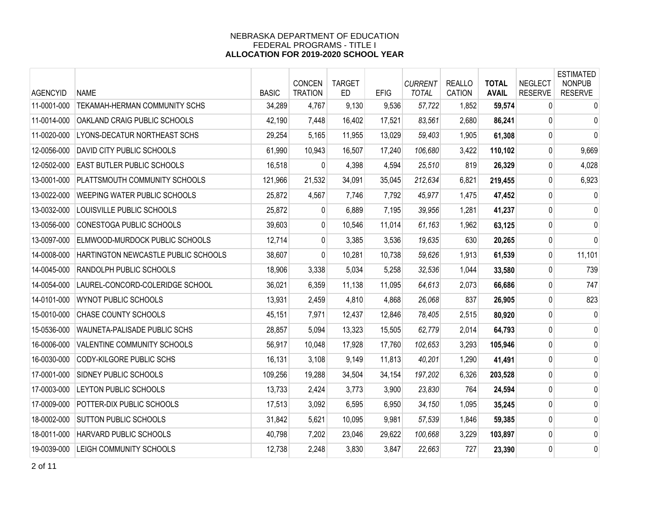| <b>AGENCYID</b> | <b>NAME</b>                         | <b>BASIC</b> | <b>CONCEN</b><br><b>TRATION</b> | <b>TARGET</b><br>ED | <b>EFIG</b> | <b>CURRENT</b><br><b>TOTAL</b> | <b>REALLO</b><br><b>CATION</b> | <b>TOTAL</b><br><b>AVAIL</b> | <b>NEGLECT</b><br><b>RESERVE</b> | <b>ESTIMATED</b><br><b>NONPUB</b><br><b>RESERVE</b> |
|-----------------|-------------------------------------|--------------|---------------------------------|---------------------|-------------|--------------------------------|--------------------------------|------------------------------|----------------------------------|-----------------------------------------------------|
| 11-0001-000     | TEKAMAH-HERMAN COMMUNITY SCHS       | 34,289       | 4,767                           | 9,130               | 9,536       | 57,722                         | 1,852                          | 59,574                       | $\mathbf{0}$                     | $\mathbf 0$                                         |
| 11-0014-000     | OAKLAND CRAIG PUBLIC SCHOOLS        | 42,190       | 7,448                           | 16,402              | 17,521      | 83,561                         | 2,680                          | 86,241                       | $\mathbf{0}$                     | 0                                                   |
| 11-0020-000     | LYONS-DECATUR NORTHEAST SCHS        | 29,254       | 5,165                           | 11,955              | 13,029      | 59,403                         | 1,905                          | 61,308                       | 0                                | $\mathbf{0}$                                        |
| 12-0056-000     | <b>DAVID CITY PUBLIC SCHOOLS</b>    | 61,990       | 10,943                          | 16,507              | 17,240      | 106,680                        | 3,422                          | 110,102                      | 0                                | 9,669                                               |
| 12-0502-000     | <b>EAST BUTLER PUBLIC SCHOOLS</b>   | 16,518       | 0                               | 4,398               | 4,594       | 25,510                         | 819                            | 26,329                       | 0                                | 4,028                                               |
| 13-0001-000     | PLATTSMOUTH COMMUNITY SCHOOLS       | 121,966      | 21,532                          | 34,091              | 35,045      | 212,634                        | 6,821                          | 219,455                      | $\mathbf{0}$                     | 6,923                                               |
| 13-0022-000     | WEEPING WATER PUBLIC SCHOOLS        | 25,872       | 4,567                           | 7,746               | 7,792       | 45,977                         | 1,475                          | 47,452                       | $\mathbf 0$                      | $\mathbf 0$                                         |
| 13-0032-000     | LOUISVILLE PUBLIC SCHOOLS           | 25,872       | $\mathbf{0}$                    | 6,889               | 7,195       | 39,956                         | 1,281                          | 41,237                       | 0                                | 0                                                   |
| 13-0056-000     | CONESTOGA PUBLIC SCHOOLS            | 39,603       | $\overline{0}$                  | 10,546              | 11,014      | 61,163                         | 1,962                          | 63,125                       | 0                                | 0                                                   |
| 13-0097-000     | ELMWOOD-MURDOCK PUBLIC SCHOOLS      | 12,714       | 0                               | 3,385               | 3,536       | 19,635                         | 630                            | 20,265                       | 0                                | 0                                                   |
| 14-0008-000     | HARTINGTON NEWCASTLE PUBLIC SCHOOLS | 38,607       | 0                               | 10,281              | 10,738      | 59.626                         | 1,913                          | 61,539                       | $\pmb{0}$                        | 11,101                                              |
| 14-0045-000     | RANDOLPH PUBLIC SCHOOLS             | 18,906       | 3,338                           | 5,034               | 5,258       | 32,536                         | 1,044                          | 33,580                       | 0                                | 739                                                 |
| 14-0054-000     | LAUREL-CONCORD-COLERIDGE SCHOOL     | 36,021       | 6,359                           | 11,138              | 11,095      | 64,613                         | 2,073                          | 66,686                       | 0                                | 747                                                 |
| 14-0101-000     | <b>WYNOT PUBLIC SCHOOLS</b>         | 13,931       | 2,459                           | 4,810               | 4,868       | 26,068                         | 837                            | 26,905                       | 0                                | 823                                                 |
| 15-0010-000     | CHASE COUNTY SCHOOLS                | 45,151       | 7,971                           | 12,437              | 12,846      | 78,405                         | 2,515                          | 80,920                       | 0                                | 0                                                   |
| 15-0536-000     | WAUNETA-PALISADE PUBLIC SCHS        | 28,857       | 5,094                           | 13,323              | 15,505      | 62,779                         | 2,014                          | 64,793                       | 0                                | 0                                                   |
| 16-0006-000     | VALENTINE COMMUNITY SCHOOLS         | 56,917       | 10,048                          | 17,928              | 17,760      | 102,653                        | 3,293                          | 105,946                      | $\mathbf{0}$                     | 0                                                   |
| 16-0030-000     | CODY-KILGORE PUBLIC SCHS            | 16,131       | 3,108                           | 9,149               | 11,813      | 40,201                         | 1,290                          | 41,491                       | 0                                | 0                                                   |
| 17-0001-000     | <b>SIDNEY PUBLIC SCHOOLS</b>        | 109,256      | 19,288                          | 34,504              | 34,154      | 197,202                        | 6,326                          | 203,528                      | 0                                | 0                                                   |
| 17-0003-000     | LEYTON PUBLIC SCHOOLS               | 13,733       | 2,424                           | 3,773               | 3,900       | 23,830                         | 764                            | 24,594                       | 0                                | 0                                                   |
| 17-0009-000     | POTTER-DIX PUBLIC SCHOOLS           | 17,513       | 3,092                           | 6,595               | 6,950       | 34,150                         | 1,095                          | 35,245                       | 0                                | 0                                                   |
| 18-0002-000     | <b>SUTTON PUBLIC SCHOOLS</b>        | 31,842       | 5,621                           | 10,095              | 9,981       | 57,539                         | 1,846                          | 59,385                       | 0                                | 0                                                   |
| 18-0011-000     | HARVARD PUBLIC SCHOOLS              | 40,798       | 7,202                           | 23,046              | 29,622      | 100,668                        | 3,229                          | 103,897                      | 0                                | 0                                                   |
| 19-0039-000     | <b>LEIGH COMMUNITY SCHOOLS</b>      | 12,738       | 2,248                           | 3,830               | 3,847       | 22,663                         | 727                            | 23,390                       | $\mathbf 0$                      | 0                                                   |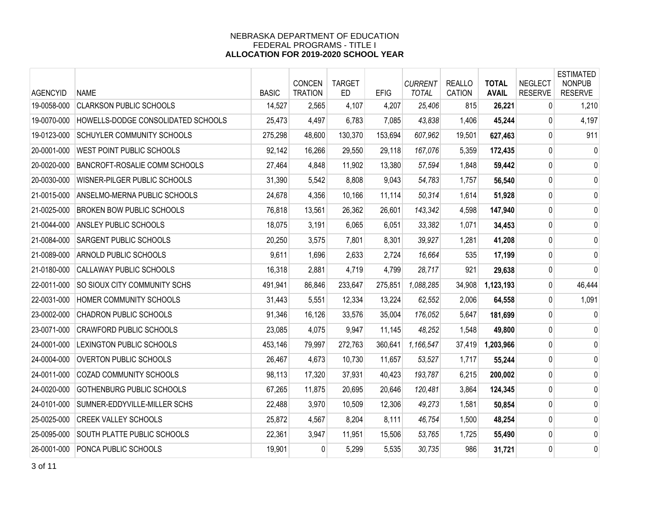| <b>AGENCYID</b> | <b>NAME</b>                          | <b>BASIC</b> | <b>CONCEN</b><br><b>TRATION</b> | <b>TARGET</b><br>ED | <b>EFIG</b> | <b>CURRENT</b><br><b>TOTAL</b> | <b>REALLO</b><br><b>CATION</b> | <b>TOTAL</b><br><b>AVAIL</b> | <b>NEGLECT</b><br><b>RESERVE</b> | <b>ESTIMATED</b><br><b>NONPUB</b><br><b>RESERVE</b> |
|-----------------|--------------------------------------|--------------|---------------------------------|---------------------|-------------|--------------------------------|--------------------------------|------------------------------|----------------------------------|-----------------------------------------------------|
| 19-0058-000     | <b>CLARKSON PUBLIC SCHOOLS</b>       | 14,527       | 2,565                           | 4,107               | 4,207       | 25,406                         | 815                            | 26,221                       | $\mathbf{0}$                     | 1,210                                               |
| 19-0070-000     | HOWELLS-DODGE CONSOLIDATED SCHOOLS   | 25,473       | 4,497                           | 6,783               | 7,085       | 43,838                         | 1,406                          | 45,244                       | $\mathbf{0}$                     | 4,197                                               |
| 19-0123-000     | <b>SCHUYLER COMMUNITY SCHOOLS</b>    | 275,298      | 48,600                          | 130,370             | 153,694     | 607,962                        | 19,501                         | 627,463                      | 0                                | 911                                                 |
| 20-0001-000     | WEST POINT PUBLIC SCHOOLS            | 92,142       | 16,266                          | 29,550              | 29,118      | 167,076                        | 5,359                          | 172,435                      | 0                                | 0                                                   |
| 20-0020-000     | <b>BANCROFT-ROSALIE COMM SCHOOLS</b> | 27,464       | 4,848                           | 11,902              | 13,380      | 57,594                         | 1,848                          | 59,442                       | 0                                | 0                                                   |
| 20-0030-000     | WISNER-PILGER PUBLIC SCHOOLS         | 31,390       | 5,542                           | 8,808               | 9,043       | 54,783                         | 1,757                          | 56,540                       | 0                                | 0                                                   |
| 21-0015-000     | ANSELMO-MERNA PUBLIC SCHOOLS         | 24,678       | 4,356                           | 10,166              | 11,114      | 50,314                         | 1,614                          | 51,928                       | $\mathbf 0$                      | 0                                                   |
| 21-0025-000     | <b>BROKEN BOW PUBLIC SCHOOLS</b>     | 76,818       | 13,561                          | 26,362              | 26,601      | 143,342                        | 4,598                          | 147,940                      | 0                                | 0                                                   |
| 21-0044-000     | <b>ANSLEY PUBLIC SCHOOLS</b>         | 18,075       | 3,191                           | 6,065               | 6,051       | 33,382                         | 1,071                          | 34,453                       | 0                                | 0                                                   |
| 21-0084-000     | <b>SARGENT PUBLIC SCHOOLS</b>        | 20,250       | 3,575                           | 7,801               | 8,301       | 39,927                         | 1,281                          | 41,208                       | 0                                | 0                                                   |
| 21-0089-000     | <b>ARNOLD PUBLIC SCHOOLS</b>         | 9,611        | 1,696                           | 2,633               | 2,724       | 16,664                         | 535                            | 17,199                       | $\pmb{0}$                        | 0                                                   |
| 21-0180-000     | CALLAWAY PUBLIC SCHOOLS              | 16,318       | 2,881                           | 4,719               | 4,799       | 28,717                         | 921                            | 29,638                       | 0                                | 0                                                   |
| 22-0011-000     | <b>SO SIOUX CITY COMMUNITY SCHS</b>  | 491,941      | 86,846                          | 233,647             | 275,851     | 1,088,285                      | 34,908                         | 1,123,193                    | 0                                | 46,444                                              |
| 22-0031-000     | HOMER COMMUNITY SCHOOLS              | 31,443       | 5,551                           | 12,334              | 13,224      | 62,552                         | 2,006                          | 64,558                       | 0                                | 1,091                                               |
| 23-0002-000     | <b>CHADRON PUBLIC SCHOOLS</b>        | 91,346       | 16,126                          | 33,576              | 35,004      | 176,052                        | 5,647                          | 181,699                      | 0                                | 0                                                   |
| 23-0071-000     | <b>CRAWFORD PUBLIC SCHOOLS</b>       | 23,085       | 4,075                           | 9,947               | 11,145      | 48,252                         | 1,548                          | 49,800                       | 0                                | 0                                                   |
| 24-0001-000     | LEXINGTON PUBLIC SCHOOLS             | 453,146      | 79,997                          | 272,763             | 360,641     | 1,166,547                      | 37,419                         | 1,203,966                    | 0                                | 0                                                   |
| 24-0004-000     | OVERTON PUBLIC SCHOOLS               | 26,467       | 4,673                           | 10,730              | 11,657      | 53,527                         | 1,717                          | 55,244                       | 0                                | 0                                                   |
| 24-0011-000     | <b>COZAD COMMUNITY SCHOOLS</b>       | 98,113       | 17,320                          | 37,931              | 40,423      | 193,787                        | 6,215                          | 200,002                      | 0                                | 0                                                   |
| 24-0020-000     | GOTHENBURG PUBLIC SCHOOLS            | 67,265       | 11,875                          | 20,695              | 20,646      | 120,481                        | 3,864                          | 124,345                      | 0                                | 0                                                   |
| 24-0101-000     | SUMNER-EDDYVILLE-MILLER SCHS         | 22,488       | 3,970                           | 10,509              | 12,306      | 49,273                         | 1,581                          | 50,854                       | 0                                | 0                                                   |
| 25-0025-000     | <b>CREEK VALLEY SCHOOLS</b>          | 25,872       | 4,567                           | 8,204               | 8,111       | 46,754                         | 1,500                          | 48,254                       | 0                                | 0                                                   |
| 25-0095-000     | <b>SOUTH PLATTE PUBLIC SCHOOLS</b>   | 22,361       | 3,947                           | 11,951              | 15,506      | 53,765                         | 1,725                          | 55,490                       | 0                                | 0                                                   |
| 26-0001-000     | PONCA PUBLIC SCHOOLS                 | 19,901       | 0                               | 5,299               | 5,535       | 30,735                         | 986                            | 31,721                       | $\mathbf 0$                      | 0                                                   |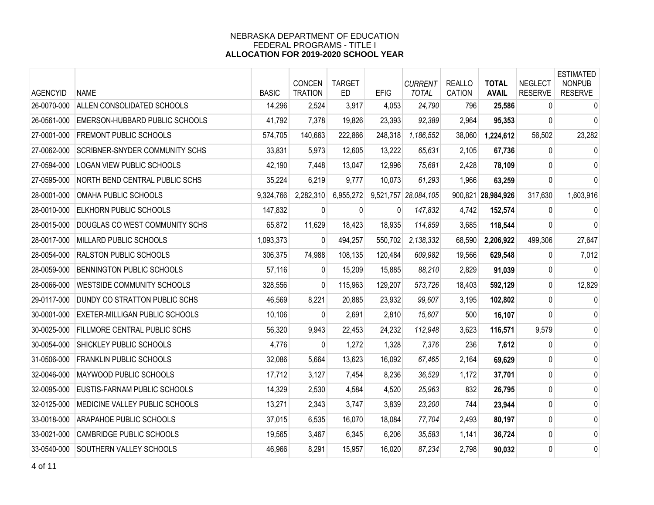| <b>AGENCYID</b> | <b>NAME</b>                         | <b>BASIC</b> | <b>CONCEN</b><br><b>TRATION</b> | <b>TARGET</b><br>ED. | <b>EFIG</b> | <b>CURRENT</b><br><b>TOTAL</b> | <b>REALLO</b><br><b>CATION</b> | <b>TOTAL</b><br><b>AVAIL</b> | <b>NEGLECT</b><br><b>RESERVE</b> | <b>ESTIMATED</b><br><b>NONPUB</b><br><b>RESERVE</b> |
|-----------------|-------------------------------------|--------------|---------------------------------|----------------------|-------------|--------------------------------|--------------------------------|------------------------------|----------------------------------|-----------------------------------------------------|
| 26-0070-000     | ALLEN CONSOLIDATED SCHOOLS          | 14,296       | 2,524                           | 3,917                | 4,053       | 24,790                         | 796                            | 25,586                       | $\mathbf{0}$                     | $\mathbf 0$                                         |
| 26-0561-000     | EMERSON-HUBBARD PUBLIC SCHOOLS      | 41,792       | 7,378                           | 19,826               | 23,393      | 92,389                         | 2,964                          | 95,353                       | $\mathbf{0}$                     | 0                                                   |
| 27-0001-000     | <b>FREMONT PUBLIC SCHOOLS</b>       | 574,705      | 140,663                         | 222,866              | 248,318     | 1,186,552                      | 38,060                         | 1,224,612                    | 56,502                           | 23,282                                              |
| 27-0062-000     | SCRIBNER-SNYDER COMMUNITY SCHS      | 33,831       | 5,973                           | 12,605               | 13,222      | 65,631                         | 2,105                          | 67,736                       | 0                                | 0                                                   |
| 27-0594-000     | <b>LOGAN VIEW PUBLIC SCHOOLS</b>    | 42,190       | 7,448                           | 13,047               | 12,996      | 75,681                         | 2,428                          | 78,109                       | $\Omega$                         | 0                                                   |
| 27-0595-000     | NORTH BEND CENTRAL PUBLIC SCHS      | 35,224       | 6,219                           | 9,777                | 10,073      | 61,293                         | 1,966                          | 63,259                       | $\mathbf{0}$                     | 0                                                   |
| 28-0001-000     | OMAHA PUBLIC SCHOOLS                | 9,324,766    | 2,282,310                       | 6,955,272            | 9,521,757   | 28,084,105                     | 900,821                        | 28,984,926                   | 317,630                          | 1,603,916                                           |
| 28-0010-000     | <b>ELKHORN PUBLIC SCHOOLS</b>       | 147,832      | 0                               | 0                    | 0           | 147,832                        | 4,742                          | 152,574                      | 0                                | 0                                                   |
| 28-0015-000     | DOUGLAS CO WEST COMMUNITY SCHS      | 65,872       | 11,629                          | 18,423               | 18,935      | 114,859                        | 3,685                          | 118,544                      | $\Omega$                         | 0                                                   |
| 28-0017-000     | MILLARD PUBLIC SCHOOLS              | 1,093,373    | 0                               | 494,257              | 550,702     | 2,138,332                      | 68,590                         | 2,206,922                    | 499,306                          | 27,647                                              |
| 28-0054-000     | <b>RALSTON PUBLIC SCHOOLS</b>       | 306,375      | 74,988                          | 108,135              | 120,484     | 609.982                        | 19,566                         | 629,548                      | $\mathbf{0}$                     | 7,012                                               |
| 28-0059-000     | <b>BENNINGTON PUBLIC SCHOOLS</b>    | 57,116       | $\overline{0}$                  | 15,209               | 15,885      | 88,210                         | 2,829                          | 91,039                       | 0                                | 0                                                   |
| 28-0066-000     | <b>WESTSIDE COMMUNITY SCHOOLS</b>   | 328,556      | $\Omega$                        | 115,963              | 129,207     | 573,726                        | 18,403                         | 592,129                      | 0                                | 12,829                                              |
| 29-0117-000     | DUNDY CO STRATTON PUBLIC SCHS       | 46,569       | 8,221                           | 20,885               | 23,932      | 99,607                         | 3,195                          | 102,802                      | $\mathbf{0}$                     | 0                                                   |
| 30-0001-000     | EXETER-MILLIGAN PUBLIC SCHOOLS      | 10,106       | $\Omega$                        | 2,691                | 2,810       | 15,607                         | 500                            | 16,107                       | 0                                | 0                                                   |
| 30-0025-000     | <b>FILLMORE CENTRAL PUBLIC SCHS</b> | 56,320       | 9,943                           | 22,453               | 24,232      | 112,948                        | 3,623                          | 116,571                      | 9,579                            | 0                                                   |
| 30-0054-000     | SHICKLEY PUBLIC SCHOOLS             | 4,776        | 0                               | 1,272                | 1,328       | 7,376                          | 236                            | 7,612                        | $\mathbf{0}$                     | 0                                                   |
| 31-0506-000     | FRANKLIN PUBLIC SCHOOLS             | 32,086       | 5,664                           | 13,623               | 16,092      | 67,465                         | 2,164                          | 69,629                       | 0                                | 0                                                   |
| 32-0046-000     | <b>MAYWOOD PUBLIC SCHOOLS</b>       | 17,712       | 3,127                           | 7,454                | 8,236       | 36,529                         | 1,172                          | 37,701                       | 0                                | 0                                                   |
| 32-0095-000     | EUSTIS-FARNAM PUBLIC SCHOOLS        | 14,329       | 2,530                           | 4,584                | 4,520       | 25,963                         | 832                            | 26,795                       | 0                                | 0                                                   |
| 32-0125-000     | MEDICINE VALLEY PUBLIC SCHOOLS      | 13,271       | 2,343                           | 3,747                | 3,839       | 23,200                         | 744                            | 23,944                       | $\mathbf{0}$                     | 0                                                   |
| 33-0018-000     | ARAPAHOE PUBLIC SCHOOLS             | 37,015       | 6,535                           | 16,070               | 18,084      | 77,704                         | 2,493                          | 80,197                       | 0                                | 0                                                   |
| 33-0021-000     | <b>CAMBRIDGE PUBLIC SCHOOLS</b>     | 19,565       | 3,467                           | 6,345                | 6,206       | 35,583                         | 1,141                          | 36,724                       | 0                                | 0                                                   |
| 33-0540-000     | SOUTHERN VALLEY SCHOOLS             | 46,966       | 8,291                           | 15,957               | 16,020      | 87,234                         | 2,798                          | 90,032                       | $\mathbf 0$                      | 0                                                   |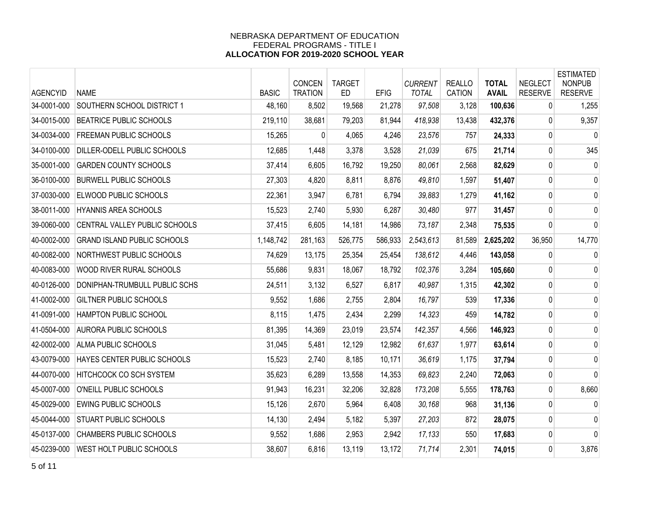| <b>AGENCYID</b> | <b>NAME</b>                        | <b>BASIC</b> | <b>CONCEN</b><br><b>TRATION</b> | <b>TARGET</b><br><b>ED</b> | <b>EFIG</b> | <b>CURRENT</b><br><b>TOTAL</b> | <b>REALLO</b><br><b>CATION</b> | <b>TOTAL</b><br><b>AVAIL</b> | <b>NEGLECT</b><br><b>RESERVE</b> | <b>ESTIMATED</b><br><b>NONPUB</b><br><b>RESERVE</b> |
|-----------------|------------------------------------|--------------|---------------------------------|----------------------------|-------------|--------------------------------|--------------------------------|------------------------------|----------------------------------|-----------------------------------------------------|
| 34-0001-000     | SOUTHERN SCHOOL DISTRICT 1         | 48,160       | 8,502                           | 19,568                     | 21,278      | 97,508                         | 3,128                          | 100,636                      | 0                                | 1,255                                               |
| 34-0015-000     | <b>BEATRICE PUBLIC SCHOOLS</b>     | 219,110      | 38,681                          | 79,203                     | 81,944      | 418,938                        | 13,438                         | 432,376                      | $\mathbf{0}$                     | 9,357                                               |
| 34-0034-000     | <b>FREEMAN PUBLIC SCHOOLS</b>      | 15,265       | 0                               | 4,065                      | 4,246       | 23,576                         | 757                            | 24,333                       | 0                                | $\Omega$                                            |
| 34-0100-000     | DILLER-ODELL PUBLIC SCHOOLS        | 12,685       | 1,448                           | 3,378                      | 3,528       | 21,039                         | 675                            | 21,714                       | 0                                | 345                                                 |
| 35-0001-000     | <b>GARDEN COUNTY SCHOOLS</b>       | 37,414       | 6,605                           | 16,792                     | 19,250      | 80,061                         | 2,568                          | 82,629                       | 0                                | 0                                                   |
| 36-0100-000     | <b>BURWELL PUBLIC SCHOOLS</b>      | 27,303       | 4,820                           | 8,811                      | 8,876       | 49,810                         | 1,597                          | 51,407                       | 0                                | 0                                                   |
| 37-0030-000     | ELWOOD PUBLIC SCHOOLS              | 22,361       | 3,947                           | 6,781                      | 6,794       | 39,883                         | 1,279                          | 41,162                       | 0                                | 0                                                   |
| 38-0011-000     | <b>HYANNIS AREA SCHOOLS</b>        | 15,523       | 2,740                           | 5,930                      | 6,287       | 30,480                         | 977                            | 31,457                       | 0                                | $\mathbf 0$                                         |
| 39-0060-000     | CENTRAL VALLEY PUBLIC SCHOOLS      | 37,415       | 6,605                           | 14,181                     | 14,986      | 73,187                         | 2,348                          | 75,535                       | 0                                | $\mathbf 0$                                         |
| 40-0002-000     | <b>GRAND ISLAND PUBLIC SCHOOLS</b> | 1,148,742    | 281,163                         | 526,775                    | 586,933     | 2,543,613                      | 81,589                         | 2,625,202                    | 36,950                           | 14,770                                              |
| 40-0082-000     | NORTHWEST PUBLIC SCHOOLS           | 74,629       | 13,175                          | 25,354                     | 25,454      | 138,612                        | 4,446                          | 143,058                      | 0                                | $\mathbf 0$                                         |
| 40-0083-000     | WOOD RIVER RURAL SCHOOLS           | 55,686       | 9,831                           | 18,067                     | 18,792      | 102,376                        | 3,284                          | 105,660                      | 0                                | 0                                                   |
| 40-0126-000     | DONIPHAN-TRUMBULL PUBLIC SCHS      | 24,511       | 3,132                           | 6,527                      | 6,817       | 40,987                         | 1,315                          | 42,302                       | 0                                | 0                                                   |
| 41-0002-000     | GILTNER PUBLIC SCHOOLS             | 9,552        | 1,686                           | 2,755                      | 2,804       | 16,797                         | 539                            | 17,336                       | 0                                | 0                                                   |
| 41-0091-000     | <b>HAMPTON PUBLIC SCHOOL</b>       | 8,115        | 1,475                           | 2,434                      | 2,299       | 14,323                         | 459                            | 14,782                       | 0                                | 0                                                   |
| 41-0504-000     | <b>AURORA PUBLIC SCHOOLS</b>       | 81,395       | 14,369                          | 23,019                     | 23,574      | 142,357                        | 4,566                          | 146,923                      | 0                                | 0                                                   |
| 42-0002-000     | <b>ALMA PUBLIC SCHOOLS</b>         | 31,045       | 5,481                           | 12,129                     | 12,982      | 61,637                         | 1,977                          | 63,614                       | 0                                | 0                                                   |
| 43-0079-000     | HAYES CENTER PUBLIC SCHOOLS        | 15,523       | 2,740                           | 8,185                      | 10,171      | 36,619                         | 1,175                          | 37,794                       | 0                                | 0                                                   |
| 44-0070-000     | <b>HITCHCOCK CO SCH SYSTEM</b>     | 35,623       | 6,289                           | 13,558                     | 14,353      | 69,823                         | 2,240                          | 72,063                       | 0                                | $\mathbf{0}$                                        |
| 45-0007-000     | O'NEILL PUBLIC SCHOOLS             | 91,943       | 16,231                          | 32,206                     | 32,828      | 173,208                        | 5,555                          | 178,763                      | 0                                | 8,660                                               |
| 45-0029-000     | <b>EWING PUBLIC SCHOOLS</b>        | 15,126       | 2,670                           | 5,964                      | 6,408       | 30,168                         | 968                            | 31,136                       | 0                                | 0                                                   |
| 45-0044-000     | <b>STUART PUBLIC SCHOOLS</b>       | 14,130       | 2,494                           | 5,182                      | 5,397       | 27,203                         | 872                            | 28,075                       | 0                                | $\mathbf 0$                                         |
| 45-0137-000     | <b>CHAMBERS PUBLIC SCHOOLS</b>     | 9,552        | 1,686                           | 2,953                      | 2,942       | 17,133                         | 550                            | 17,683                       | 0                                | 0                                                   |
| 45-0239-000     | WEST HOLT PUBLIC SCHOOLS           | 38,607       | 6,816                           | 13,119                     | 13,172      | 71,714                         | 2,301                          | 74,015                       | $\mathbf 0$                      | 3,876                                               |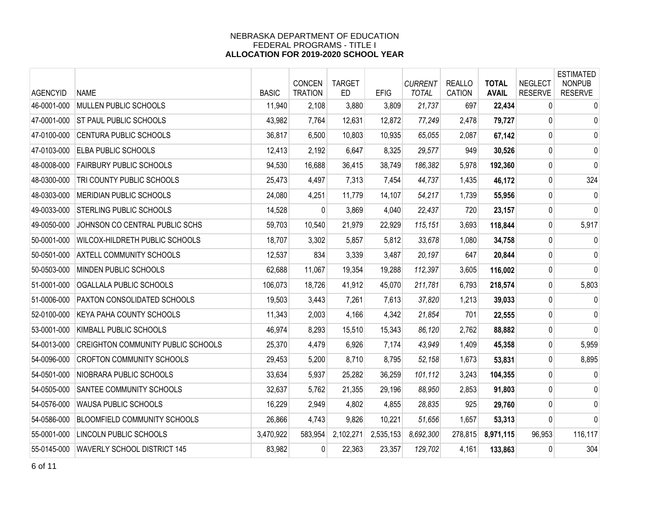| <b>AGENCYID</b> | <b>NAME</b>                               | <b>BASIC</b> | <b>CONCEN</b><br><b>TRATION</b> | <b>TARGET</b><br><b>ED</b> | <b>EFIG</b> | <b>CURRENT</b><br><b>TOTAL</b> | <b>REALLO</b><br><b>CATION</b> | <b>TOTAL</b><br><b>AVAIL</b> | <b>NEGLECT</b><br><b>RESERVE</b> | <b>ESTIMATED</b><br><b>NONPUB</b><br><b>RESERVE</b> |
|-----------------|-------------------------------------------|--------------|---------------------------------|----------------------------|-------------|--------------------------------|--------------------------------|------------------------------|----------------------------------|-----------------------------------------------------|
| 46-0001-000     | MULLEN PUBLIC SCHOOLS                     | 11,940       | 2,108                           | 3,880                      | 3,809       | 21,737                         | 697                            | 22,434                       | 0                                | $\pmb{0}$                                           |
| 47-0001-000     | ST PAUL PUBLIC SCHOOLS                    | 43,982       | 7,764                           | 12,631                     | 12,872      | 77,249                         | 2,478                          | 79,727                       | 0                                | 0                                                   |
| 47-0100-000     | CENTURA PUBLIC SCHOOLS                    | 36,817       | 6,500                           | 10,803                     | 10,935      | 65,055                         | 2,087                          | 67,142                       | 0                                | 0                                                   |
| 47-0103-000     | <b>ELBA PUBLIC SCHOOLS</b>                | 12,413       | 2,192                           | 6,647                      | 8,325       | 29,577                         | 949                            | 30,526                       | 0                                | 0                                                   |
| 48-0008-000     | <b>FAIRBURY PUBLIC SCHOOLS</b>            | 94,530       | 16,688                          | 36,415                     | 38,749      | 186,382                        | 5,978                          | 192,360                      | $\mathbf{0}$                     | 0                                                   |
| 48-0300-000     | TRI COUNTY PUBLIC SCHOOLS                 | 25,473       | 4,497                           | 7,313                      | 7,454       | 44,737                         | 1,435                          | 46,172                       | 0                                | 324                                                 |
| 48-0303-000     | MERIDIAN PUBLIC SCHOOLS                   | 24,080       | 4,251                           | 11,779                     | 14,107      | 54,217                         | 1,739                          | 55,956                       | $\mathbf 0$                      | $\mathbf 0$                                         |
| 49-0033-000     | STERLING PUBLIC SCHOOLS                   | 14,528       | $\mathbf{0}$                    | 3,869                      | 4,040       | 22,437                         | 720                            | 23,157                       | 0                                | 0                                                   |
| 49-0050-000     | JOHNSON CO CENTRAL PUBLIC SCHS            | 59,703       | 10,540                          | 21,979                     | 22,929      | 115,151                        | 3,693                          | 118,844                      | 0                                | 5,917                                               |
| 50-0001-000     | WILCOX-HILDRETH PUBLIC SCHOOLS            | 18,707       | 3,302                           | 5,857                      | 5,812       | 33,678                         | 1,080                          | 34,758                       | 0                                | 0                                                   |
| 50-0501-000     | <b>AXTELL COMMUNITY SCHOOLS</b>           | 12,537       | 834                             | 3,339                      | 3,487       | 20,197                         | 647                            | 20,844                       | 0                                | 0                                                   |
| 50-0503-000     | MINDEN PUBLIC SCHOOLS                     | 62,688       | 11,067                          | 19,354                     | 19,288      | 112,397                        | 3,605                          | 116,002                      | 0                                | $\mathbf 0$                                         |
| 51-0001-000     | OGALLALA PUBLIC SCHOOLS                   | 106,073      | 18,726                          | 41,912                     | 45,070      | 211,781                        | 6,793                          | 218,574                      | $\mathbf{0}$                     | 5,803                                               |
| 51-0006-000     | PAXTON CONSOLIDATED SCHOOLS               | 19,503       | 3,443                           | 7,261                      | 7,613       | 37,820                         | 1,213                          | 39,033                       | 0                                | $\mathbf 0$                                         |
| 52-0100-000     | KEYA PAHA COUNTY SCHOOLS                  | 11,343       | 2,003                           | 4,166                      | 4,342       | 21,854                         | 701                            | 22,555                       | 0                                | 0                                                   |
| 53-0001-000     | <b>KIMBALL PUBLIC SCHOOLS</b>             | 46,974       | 8,293                           | 15,510                     | 15,343      | 86,120                         | 2,762                          | 88,882                       | 0                                | $\mathbf 0$                                         |
| 54-0013-000     | <b>CREIGHTON COMMUNITY PUBLIC SCHOOLS</b> | 25,370       | 4,479                           | 6,926                      | 7,174       | 43,949                         | 1,409                          | 45,358                       | 0                                | 5,959                                               |
| 54-0096-000     | <b>CROFTON COMMUNITY SCHOOLS</b>          | 29,453       | 5,200                           | 8,710                      | 8,795       | 52,158                         | 1,673                          | 53,831                       | $\mathbf 0$                      | 8,895                                               |
| 54-0501-000     | NIOBRARA PUBLIC SCHOOLS                   | 33,634       | 5,937                           | 25,282                     | 36,259      | 101,112                        | 3,243                          | 104,355                      | 0                                | 0                                                   |
| 54-0505-000     | SANTEE COMMUNITY SCHOOLS                  | 32,637       | 5,762                           | 21,355                     | 29,196      | 88.950                         | 2,853                          | 91,803                       | 0                                | 0                                                   |
| 54-0576-000     | <b>WAUSA PUBLIC SCHOOLS</b>               | 16,229       | 2,949                           | 4,802                      | 4,855       | 28,835                         | 925                            | 29,760                       | $\mathbf{0}$                     | 0                                                   |
| 54-0586-000     | <b>BLOOMFIELD COMMUNITY SCHOOLS</b>       | 26,866       | 4,743                           | 9,826                      | 10,221      | 51,656                         | 1,657                          | 53,313                       | 0                                | $\mathbf{0}$                                        |
| 55-0001-000     | LINCOLN PUBLIC SCHOOLS                    | 3,470,922    | 583,954                         | 2,102,271                  | 2,535,153   | 8,692,300                      | 278,815                        | 8,971,115                    | 96,953                           | 116,117                                             |
| 55-0145-000     | WAVERLY SCHOOL DISTRICT 145               | 83,982       | $\Omega$                        | 22,363                     | 23,357      | 129,702                        | 4,161                          | 133,863                      | $\Omega$                         | 304                                                 |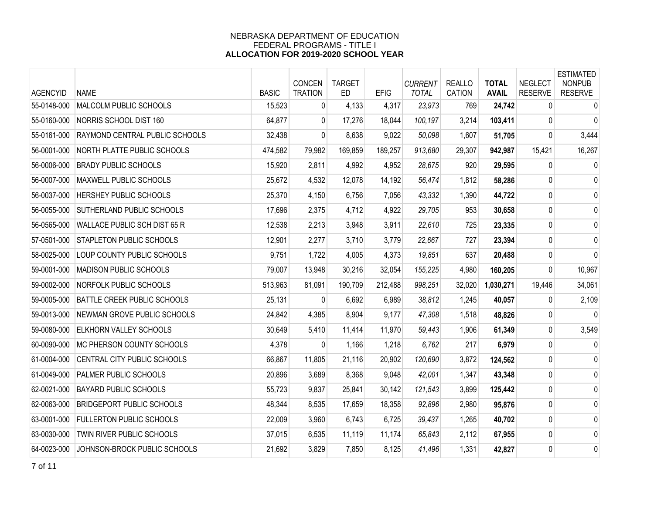| <b>AGENCYID</b> | <b>NAME</b>                        | <b>BASIC</b> | CONCEN<br><b>TRATION</b> | <b>TARGET</b><br><b>ED</b> | <b>EFIG</b> | <b>CURRENT</b><br><b>TOTAL</b> | <b>REALLO</b><br><b>CATION</b> | <b>TOTAL</b><br><b>AVAIL</b> | <b>NEGLECT</b><br><b>RESERVE</b> | <b>ESTIMATED</b><br><b>NONPUB</b><br><b>RESERVE</b> |
|-----------------|------------------------------------|--------------|--------------------------|----------------------------|-------------|--------------------------------|--------------------------------|------------------------------|----------------------------------|-----------------------------------------------------|
| 55-0148-000     | MALCOLM PUBLIC SCHOOLS             | 15,523       | 0                        | 4,133                      | 4,317       | 23,973                         | 769                            | 24,742                       | 0                                | $\mathbf 0$                                         |
| 55-0160-000     | NORRIS SCHOOL DIST 160             | 64,877       | $\overline{0}$           | 17,276                     | 18,044      | 100,197                        | 3,214                          | 103,411                      | 0                                | 0                                                   |
| 55-0161-000     | RAYMOND CENTRAL PUBLIC SCHOOLS     | 32,438       | 0                        | 8,638                      | 9,022       | 50,098                         | 1,607                          | 51,705                       | 0                                | 3,444                                               |
| 56-0001-000     | <b>NORTH PLATTE PUBLIC SCHOOLS</b> | 474,582      | 79,982                   | 169,859                    | 189,257     | 913,680                        | 29,307                         | 942,987                      | 15,421                           | 16,267                                              |
| 56-0006-000     | <b>BRADY PUBLIC SCHOOLS</b>        | 15,920       | 2,811                    | 4,992                      | 4,952       | 28,675                         | 920                            | 29,595                       | $\mathbf{0}$                     | $\mathbf 0$                                         |
| 56-0007-000     | MAXWELL PUBLIC SCHOOLS             | 25,672       | 4,532                    | 12,078                     | 14,192      | 56,474                         | 1,812                          | 58,286                       | 0                                | 0                                                   |
| 56-0037-000     | HERSHEY PUBLIC SCHOOLS             | 25,370       | 4,150                    | 6,756                      | 7,056       | 43,332                         | 1,390                          | 44,722                       | 0                                | 0                                                   |
| 56-0055-000     | SUTHERLAND PUBLIC SCHOOLS          | 17,696       | 2,375                    | 4,712                      | 4,922       | 29,705                         | 953                            | 30,658                       | 0                                | 0                                                   |
| 56-0565-000     | WALLACE PUBLIC SCH DIST 65 R       | 12,538       | 2,213                    | 3,948                      | 3,911       | 22,610                         | 725                            | 23,335                       | 0                                | 0                                                   |
| 57-0501-000     | <b>STAPLETON PUBLIC SCHOOLS</b>    | 12,901       | 2,277                    | 3,710                      | 3,779       | 22,667                         | 727                            | 23,394                       | 0                                | 0                                                   |
| 58-0025-000     | LOUP COUNTY PUBLIC SCHOOLS         | 9,751        | 1,722                    | 4,005                      | 4,373       | 19,851                         | 637                            | 20,488                       | 0                                | 0                                                   |
| 59-0001-000     | <b>MADISON PUBLIC SCHOOLS</b>      | 79,007       | 13,948                   | 30,216                     | 32,054      | 155,225                        | 4,980                          | 160,205                      | 0                                | 10,967                                              |
| 59-0002-000     | NORFOLK PUBLIC SCHOOLS             | 513,963      | 81,091                   | 190,709                    | 212,488     | 998,251                        | 32,020                         | 1,030,271                    | 19,446                           | 34,061                                              |
| 59-0005-000     | BATTLE CREEK PUBLIC SCHOOLS        | 25,131       | 0                        | 6,692                      | 6,989       | 38,812                         | 1,245                          | 40,057                       | $\mathbf{0}$                     | 2,109                                               |
| 59-0013-000     | NEWMAN GROVE PUBLIC SCHOOLS        | 24,842       | 4,385                    | 8,904                      | 9,177       | 47,308                         | 1,518                          | 48,826                       | 0                                | $\mathbf 0$                                         |
| 59-0080-000     | <b>ELKHORN VALLEY SCHOOLS</b>      | 30,649       | 5,410                    | 11,414                     | 11,970      | 59,443                         | 1,906                          | 61,349                       | 0                                | 3,549                                               |
| 60-0090-000     | <b>MC PHERSON COUNTY SCHOOLS</b>   | 4,378        | 0                        | 1,166                      | 1,218       | 6,762                          | 217                            | 6,979                        | 0                                | 0                                                   |
| 61-0004-000     | CENTRAL CITY PUBLIC SCHOOLS        | 66,867       | 11,805                   | 21,116                     | 20,902      | 120,690                        | 3,872                          | 124,562                      | 0                                | 0                                                   |
| 61-0049-000     | <b>PALMER PUBLIC SCHOOLS</b>       | 20,896       | 3,689                    | 8,368                      | 9,048       | 42,001                         | 1,347                          | 43,348                       | 0                                | 0                                                   |
| 62-0021-000     | <b>BAYARD PUBLIC SCHOOLS</b>       | 55,723       | 9,837                    | 25,841                     | 30,142      | 121,543                        | 3,899                          | 125,442                      | 0                                | 0                                                   |
| 62-0063-000     | <b>BRIDGEPORT PUBLIC SCHOOLS</b>   | 48,344       | 8,535                    | 17,659                     | 18,358      | 92,896                         | 2,980                          | 95,876                       | 0                                | 0                                                   |
| 63-0001-000     | <b>FULLERTON PUBLIC SCHOOLS</b>    | 22,009       | 3,960                    | 6,743                      | 6,725       | 39,437                         | 1,265                          | 40,702                       | 0                                | 0                                                   |
| 63-0030-000     | TWIN RIVER PUBLIC SCHOOLS          | 37,015       | 6,535                    | 11,119                     | 11,174      | 65,843                         | 2,112                          | 67,955                       | 0                                | 0                                                   |
| 64-0023-000     | JOHNSON-BROCK PUBLIC SCHOOLS       | 21,692       | 3,829                    | 7,850                      | 8,125       | 41,496                         | 1,331                          | 42,827                       | 0                                | 0                                                   |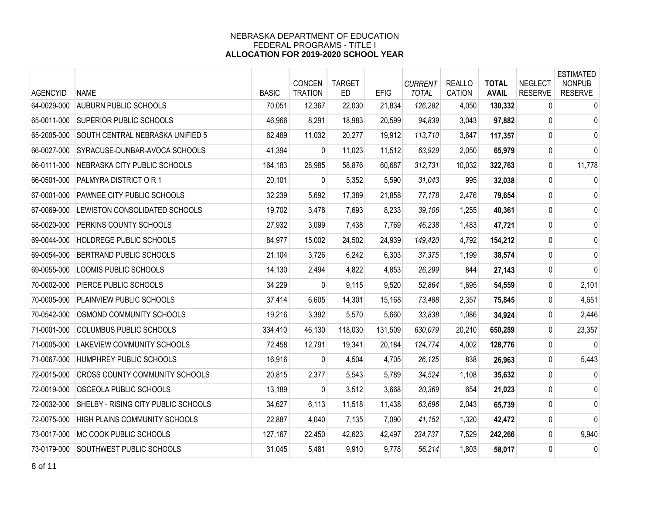| <b>AGENCYID</b> | <b>NAME</b>                           | <b>BASIC</b> | <b>CONCEN</b><br><b>TRATION</b> | <b>TARGET</b><br><b>ED</b> | <b>EFIG</b> | <b>CURRENT</b><br><b>TOTAL</b> | <b>REALLO</b><br><b>CATION</b> | <b>TOTAL</b><br><b>AVAIL</b> | <b>NEGLECT</b><br><b>RESERVE</b> | <b>ESTIMATED</b><br><b>NONPUB</b><br><b>RESERVE</b> |
|-----------------|---------------------------------------|--------------|---------------------------------|----------------------------|-------------|--------------------------------|--------------------------------|------------------------------|----------------------------------|-----------------------------------------------------|
| 64-0029-000     | <b>AUBURN PUBLIC SCHOOLS</b>          | 70,051       | 12,367                          | 22,030                     | 21,834      | 126,282                        | 4,050                          | 130,332                      | $\mathbf{0}$                     | $\mathbf 0$                                         |
| 65-0011-000     | SUPERIOR PUBLIC SCHOOLS               | 46,966       | 8,291                           | 18,983                     | 20,599      | 94,839                         | 3,043                          | 97,882                       | 0                                | 0                                                   |
| 65-2005-000     | SOUTH CENTRAL NEBRASKA UNIFIED 5      | 62,489       | 11,032                          | 20,277                     | 19,912      | 113,710                        | 3,647                          | 117,357                      | $\mathbf 0$                      | 0                                                   |
| 66-0027-000     | SYRACUSE-DUNBAR-AVOCA SCHOOLS         | 41,394       | $\overline{0}$                  | 11,023                     | 11,512      | 63,929                         | 2,050                          | 65,979                       | 0                                | 0                                                   |
| 66-0111-000     | NEBRASKA CITY PUBLIC SCHOOLS          | 164,183      | 28,985                          | 58,876                     | 60,687      | 312,731                        | 10,032                         | 322,763                      | 0                                | 11,778                                              |
| 66-0501-000     | PALMYRA DISTRICT OR 1                 | 20,101       | $\Omega$                        | 5,352                      | 5,590       | 31,043                         | 995                            | 32,038                       | 0                                | 0                                                   |
| 67-0001-000     | PAWNEE CITY PUBLIC SCHOOLS            | 32,239       | 5,692                           | 17,389                     | 21,858      | 77,178                         | 2,476                          | 79,654                       | $\mathbf 0$                      | 0                                                   |
| 67-0069-000     | LEWISTON CONSOLIDATED SCHOOLS         | 19,702       | 3,478                           | 7,693                      | 8,233       | 39,106                         | 1,255                          | 40,361                       | 0                                | 0                                                   |
| 68-0020-000     | PERKINS COUNTY SCHOOLS                | 27,932       | 3,099                           | 7,438                      | 7,769       | 46,238                         | 1,483                          | 47,721                       | 0                                | 0                                                   |
| 69-0044-000     | HOLDREGE PUBLIC SCHOOLS               | 84,977       | 15,002                          | 24,502                     | 24,939      | 149,420                        | 4,792                          | 154,212                      | 0                                | 0                                                   |
| 69-0054-000     | <b>BERTRAND PUBLIC SCHOOLS</b>        | 21,104       | 3,726                           | 6,242                      | 6,303       | 37,375                         | 1,199                          | 38,574                       | $\pmb{0}$                        | 0                                                   |
| 69-0055-000     | LOOMIS PUBLIC SCHOOLS                 | 14,130       | 2,494                           | 4,822                      | 4,853       | 26,299                         | 844                            | 27,143                       | 0                                | 0                                                   |
| 70-0002-000     | PIERCE PUBLIC SCHOOLS                 | 34,229       | $\Omega$                        | 9,115                      | 9,520       | 52,864                         | 1,695                          | 54,559                       | 0                                | 2,101                                               |
| 70-0005-000     | PLAINVIEW PUBLIC SCHOOLS              | 37,414       | 6,605                           | 14,301                     | 15,168      | 73,488                         | 2,357                          | 75,845                       | $\mathbf{0}$                     | 4,651                                               |
| 70-0542-000     | OSMOND COMMUNITY SCHOOLS              | 19,216       | 3,392                           | 5,570                      | 5,660       | 33,838                         | 1,086                          | 34,924                       | 0                                | 2,446                                               |
| 71-0001-000     | COLUMBUS PUBLIC SCHOOLS               | 334,410      | 46,130                          | 118,030                    | 131,509     | 630,079                        | 20,210                         | 650,289                      | 0                                | 23,357                                              |
| 71-0005-000     | LAKEVIEW COMMUNITY SCHOOLS            | 72,458       | 12,791                          | 19,341                     | 20,184      | 124,774                        | 4,002                          | 128,776                      | $\mathbf{0}$                     | 0                                                   |
| 71-0067-000     | HUMPHREY PUBLIC SCHOOLS               | 16,916       | 0                               | 4,504                      | 4,705       | 26,125                         | 838                            | 26,963                       | 0                                | 5,443                                               |
| 72-0015-000     | <b>CROSS COUNTY COMMUNITY SCHOOLS</b> | 20,815       | 2,377                           | 5,543                      | 5,789       | 34,524                         | 1,108                          | 35,632                       | 0                                | 0                                                   |
| 72-0019-000     | OSCEOLA PUBLIC SCHOOLS                | 13,189       | 0                               | 3,512                      | 3,668       | 20,369                         | 654                            | 21,023                       | 0                                | 0                                                   |
| 72-0032-000     | SHELBY - RISING CITY PUBLIC SCHOOLS   | 34,627       | 6,113                           | 11,518                     | 11,438      | 63,696                         | 2,043                          | 65,739                       | $\mathbf{0}$                     | 0                                                   |
| 72-0075-000     | HIGH PLAINS COMMUNITY SCHOOLS         | 22,887       | 4,040                           | 7,135                      | 7,090       | 41,152                         | 1,320                          | 42,472                       | $\mathbf 0$                      | $\mathbf 0$                                         |
| 73-0017-000     | MC COOK PUBLIC SCHOOLS                | 127,167      | 22,450                          | 42,623                     | 42,497      | 234,737                        | 7,529                          | 242,266                      | 0                                | 9,940                                               |
| 73-0179-000     | SOUTHWEST PUBLIC SCHOOLS              | 31,045       | 5,481                           | 9,910                      | 9,778       | 56,214                         | 1,803                          | 58,017                       | $\mathbf{0}$                     | 0                                                   |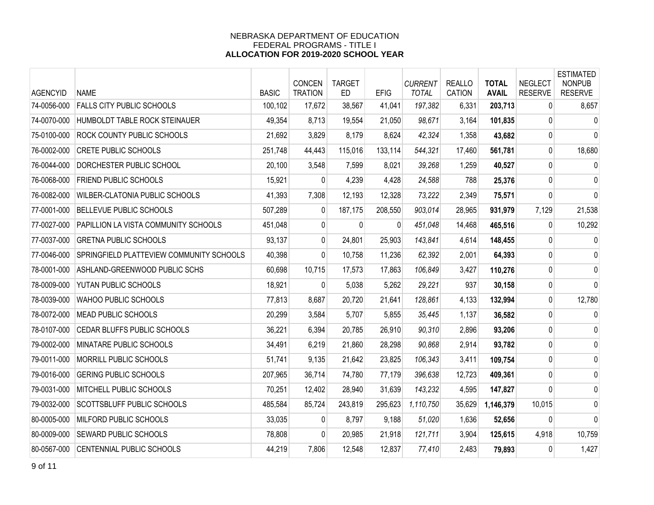| <b>AGENCYID</b> | <b>NAME</b>                              | <b>BASIC</b> | CONCEN<br><b>TRATION</b> | <b>TARGET</b><br><b>ED</b> | <b>EFIG</b> | <b>CURRENT</b><br><b>TOTAL</b> | <b>REALLO</b><br>CATION | <b>TOTAL</b><br><b>AVAIL</b> | <b>NEGLECT</b><br><b>RESERVE</b> | <b>ESTIMATED</b><br><b>NONPUB</b><br><b>RESERVE</b> |
|-----------------|------------------------------------------|--------------|--------------------------|----------------------------|-------------|--------------------------------|-------------------------|------------------------------|----------------------------------|-----------------------------------------------------|
| 74-0056-000     | <b>FALLS CITY PUBLIC SCHOOLS</b>         | 100,102      | 17,672                   | 38,567                     | 41,041      | 197,382                        | 6,331                   | 203,713                      | $\mathbf{0}$                     | 8,657                                               |
| 74-0070-000     | HUMBOLDT TABLE ROCK STEINAUER            | 49,354       | 8,713                    | 19,554                     | 21,050      | 98,671                         | 3,164                   | 101,835                      | $\mathbf{0}$                     | 0                                                   |
| 75-0100-000     | ROCK COUNTY PUBLIC SCHOOLS               | 21,692       | 3,829                    | 8,179                      | 8,624       | 42,324                         | 1,358                   | 43,682                       | 0                                | $\mathbf{0}$                                        |
| 76-0002-000     | <b>CRETE PUBLIC SCHOOLS</b>              | 251,748      | 44,443                   | 115,016                    | 133,114     | 544,321                        | 17,460                  | 561,781                      | 0                                | 18,680                                              |
| 76-0044-000     | DORCHESTER PUBLIC SCHOOL                 | 20,100       | 3,548                    | 7,599                      | 8,021       | 39,268                         | 1,259                   | 40,527                       | 0                                | $\mathbf 0$                                         |
| 76-0068-000     | FRIEND PUBLIC SCHOOLS                    | 15,921       | $\Omega$                 | 4,239                      | 4,428       | 24,588                         | 788                     | 25,376                       | $\mathbf{0}$                     | 0                                                   |
| 76-0082-000     | <b>WILBER-CLATONIA PUBLIC SCHOOLS</b>    | 41,393       | 7,308                    | 12,193                     | 12,328      | 73,222                         | 2,349                   | 75,571                       | $\mathbf 0$                      | 0                                                   |
| 77-0001-000     | <b>BELLEVUE PUBLIC SCHOOLS</b>           | 507,289      | $\mathbf{0}$             | 187,175                    | 208,550     | 903,014                        | 28,965                  | 931,979                      | 7,129                            | 21,538                                              |
| 77-0027-000     | PAPILLION LA VISTA COMMUNITY SCHOOLS     | 451,048      | $\overline{0}$           | 0                          | $\Omega$    | 451,048                        | 14,468                  | 465,516                      | $\mathbf{0}$                     | 10,292                                              |
| 77-0037-000     | <b>GRETNA PUBLIC SCHOOLS</b>             | 93,137       | $\overline{0}$           | 24,801                     | 25,903      | 143,841                        | 4,614                   | 148,455                      | 0                                | $\mathbf 0$                                         |
| 77-0046-000     | SPRINGFIELD PLATTEVIEW COMMUNITY SCHOOLS | 40,398       | $\overline{0}$           | 10,758                     | 11,236      | 62,392                         | 2,001                   | 64,393                       | 0                                | 0                                                   |
| 78-0001-000     | ASHLAND-GREENWOOD PUBLIC SCHS            | 60,698       | 10,715                   | 17,573                     | 17,863      | 106,849                        | 3,427                   | 110,276                      | 0                                | 0                                                   |
| 78-0009-000     | YUTAN PUBLIC SCHOOLS                     | 18,921       | $\Omega$                 | 5,038                      | 5,262       | 29,221                         | 937                     | 30,158                       | 0                                | 0                                                   |
| 78-0039-000     | WAHOO PUBLIC SCHOOLS                     | 77,813       | 8,687                    | 20,720                     | 21,641      | 128,861                        | 4,133                   | 132,994                      | 0                                | 12,780                                              |
| 78-0072-000     | MEAD PUBLIC SCHOOLS                      | 20,299       | 3,584                    | 5,707                      | 5,855       | 35,445                         | 1,137                   | 36,582                       | 0                                | 0                                                   |
| 78-0107-000     | CEDAR BLUFFS PUBLIC SCHOOLS              | 36,221       | 6,394                    | 20,785                     | 26,910      | 90,310                         | 2,896                   | 93,206                       | 0                                | 0                                                   |
| 79-0002-000     | MINATARE PUBLIC SCHOOLS                  | 34,491       | 6,219                    | 21,860                     | 28,298      | 90,868                         | 2,914                   | 93,782                       | 0                                | 0                                                   |
| 79-0011-000     | MORRILL PUBLIC SCHOOLS                   | 51,741       | 9,135                    | 21,642                     | 23,825      | 106,343                        | 3,411                   | 109,754                      | $\pmb{0}$                        | 0                                                   |
| 79-0016-000     | <b>GERING PUBLIC SCHOOLS</b>             | 207,965      | 36,714                   | 74,780                     | 77,179      | 396,638                        | 12,723                  | 409,361                      | 0                                | 0                                                   |
| 79-0031-000     | MITCHELL PUBLIC SCHOOLS                  | 70,251       | 12,402                   | 28,940                     | 31,639      | 143,232                        | 4,595                   | 147,827                      | 0                                | 0                                                   |
| 79-0032-000     | SCOTTSBLUFF PUBLIC SCHOOLS               | 485,584      | 85,724                   | 243,819                    | 295,623     | 1,110,750                      | 35,629                  | 1,146,379                    | 10,015                           | 0                                                   |
| 80-0005-000     | MILFORD PUBLIC SCHOOLS                   | 33,035       | $\mathbf{0}$             | 8,797                      | 9,188       | 51,020                         | 1,636                   | 52,656                       | $\mathbf{0}$                     | 0                                                   |
| 80-0009-000     | SEWARD PUBLIC SCHOOLS                    | 78,808       | 0                        | 20,985                     | 21,918      | 121,711                        | 3,904                   | 125,615                      | 4,918                            | 10,759                                              |
| 80-0567-000     | CENTENNIAL PUBLIC SCHOOLS                | 44,219       | 7,806                    | 12,548                     | 12,837      | 77,410                         | 2,483                   | 79,893                       | 0                                | 1,427                                               |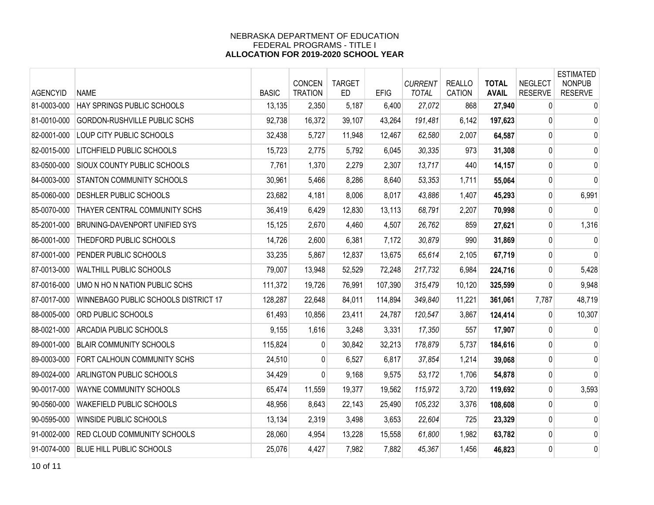| <b>AGENCYID</b> | <b>NAME</b>                          | <b>BASIC</b> | CONCEN<br><b>TRATION</b> | <b>TARGET</b><br>ED | <b>EFIG</b> | <b>CURRENT</b><br><b>TOTAL</b> | <b>REALLO</b><br><b>CATION</b> | <b>TOTAL</b><br><b>AVAIL</b> | <b>NEGLECT</b><br><b>RESERVE</b> | <b>ESTIMATED</b><br><b>NONPUB</b><br><b>RESERVE</b> |
|-----------------|--------------------------------------|--------------|--------------------------|---------------------|-------------|--------------------------------|--------------------------------|------------------------------|----------------------------------|-----------------------------------------------------|
| 81-0003-000     | HAY SPRINGS PUBLIC SCHOOLS           | 13,135       | 2,350                    | 5,187               | 6,400       | 27,072                         | 868                            | 27,940                       | 0                                | 0                                                   |
| 81-0010-000     | GORDON-RUSHVILLE PUBLIC SCHS         | 92,738       | 16,372                   | 39,107              | 43,264      | 191,481                        | 6,142                          | 197,623                      | $\overline{0}$                   | $\mathbf 0$                                         |
| 82-0001-000     | LOUP CITY PUBLIC SCHOOLS             | 32,438       | 5,727                    | 11,948              | 12,467      | 62,580                         | 2,007                          | 64,587                       | 0                                | $\mathbf 0$                                         |
| 82-0015-000     | LITCHFIELD PUBLIC SCHOOLS            | 15,723       | 2,775                    | 5,792               | 6,045       | 30,335                         | 973                            | 31,308                       | 0                                | $\mathbf 0$                                         |
| 83-0500-000     | SIOUX COUNTY PUBLIC SCHOOLS          | 7,761        | 1,370                    | 2,279               | 2,307       | 13,717                         | 440                            | 14,157                       | 0                                | 0                                                   |
| 84-0003-000     | STANTON COMMUNITY SCHOOLS            | 30,961       | 5,466                    | 8,286               | 8,640       | 53,353                         | 1,711                          | 55,064                       | 0                                | $\mathbf{0}$                                        |
| 85-0060-000     | DESHLER PUBLIC SCHOOLS               | 23,682       | 4,181                    | 8,006               | 8,017       | 43,886                         | 1,407                          | 45,293                       | 0                                | 6,991                                               |
| 85-0070-000     | THAYER CENTRAL COMMUNITY SCHS        | 36,419       | 6,429                    | 12,830              | 13,113      | 68,791                         | 2,207                          | 70,998                       | $\mathbf 0$                      | $\Omega$                                            |
| 85-2001-000     | BRUNING-DAVENPORT UNIFIED SYS        | 15,125       | 2,670                    | 4,460               | 4,507       | 26,762                         | 859                            | 27,621                       | 0                                | 1,316                                               |
| 86-0001-000     | THEDFORD PUBLIC SCHOOLS              | 14,726       | 2,600                    | 6,381               | 7,172       | 30,879                         | 990                            | 31,869                       | $\mathbf 0$                      | 0                                                   |
| 87-0001-000     | PENDER PUBLIC SCHOOLS                | 33,235       | 5,867                    | 12,837              | 13,675      | 65,614                         | 2,105                          | 67,719                       | 0                                | $\mathbf 0$                                         |
| 87-0013-000     | WALTHILL PUBLIC SCHOOLS              | 79,007       | 13,948                   | 52,529              | 72,248      | 217,732                        | 6,984                          | 224,716                      | $\mathbf{0}$                     | 5,428                                               |
| 87-0016-000     | UMO N HO N NATION PUBLIC SCHS        | 111,372      | 19,726                   | 76,991              | 107,390     | 315,479                        | 10,120                         | 325,599                      | 0                                | 9,948                                               |
| 87-0017-000     | WINNEBAGO PUBLIC SCHOOLS DISTRICT 17 | 128,287      | 22,648                   | 84,011              | 114,894     | 349,840                        | 11,221                         | 361,061                      | 7,787                            | 48,719                                              |
| 88-0005-000     | ORD PUBLIC SCHOOLS                   | 61,493       | 10,856                   | 23,411              | 24,787      | 120,547                        | 3,867                          | 124,414                      | $\mathbf{0}$                     | 10,307                                              |
| 88-0021-000     | ARCADIA PUBLIC SCHOOLS               | 9,155        | 1,616                    | 3,248               | 3,331       | 17,350                         | 557                            | 17,907                       | 0                                | 0                                                   |
| 89-0001-000     | <b>BLAIR COMMUNITY SCHOOLS</b>       | 115,824      | $\Omega$                 | 30,842              | 32,213      | 178,879                        | 5,737                          | 184,616                      | $\overline{0}$                   | 0                                                   |
| 89-0003-000     | FORT CALHOUN COMMUNITY SCHS          | 24,510       | 0                        | 6,527               | 6,817       | 37,854                         | 1,214                          | 39,068                       | $\pmb{0}$                        | $\mathbf 0$                                         |
| 89-0024-000     | <b>ARLINGTON PUBLIC SCHOOLS</b>      | 34,429       | 0                        | 9,168               | 9,575       | 53,172                         | 1,706                          | 54,878                       | $\mathbf 0$                      | $\mathbf{0}$                                        |
| 90-0017-000     | WAYNE COMMUNITY SCHOOLS              | 65,474       | 11,559                   | 19,377              | 19,562      | 115,972                        | 3,720                          | 119,692                      | $\mathbf 0$                      | 3,593                                               |
| 90-0560-000     | <b>WAKEFIELD PUBLIC SCHOOLS</b>      | 48,956       | 8,643                    | 22,143              | 25,490      | 105,232                        | 3,376                          | 108,608                      | 0                                | $\mathbf 0$                                         |
| 90-0595-000     | WINSIDE PUBLIC SCHOOLS               | 13,134       | 2,319                    | 3,498               | 3,653       | 22,604                         | 725                            | 23,329                       | 0                                | 0                                                   |
| 91-0002-000     | <b>RED CLOUD COMMUNITY SCHOOLS</b>   | 28,060       | 4,954                    | 13,228              | 15,558      | 61,800                         | 1,982                          | 63,782                       | 0                                | 0                                                   |
| 91-0074-000     | <b>BLUE HILL PUBLIC SCHOOLS</b>      | 25,076       | 4,427                    | 7,982               | 7,882       | 45,367                         | 1,456                          | 46,823                       | 0                                | 0                                                   |